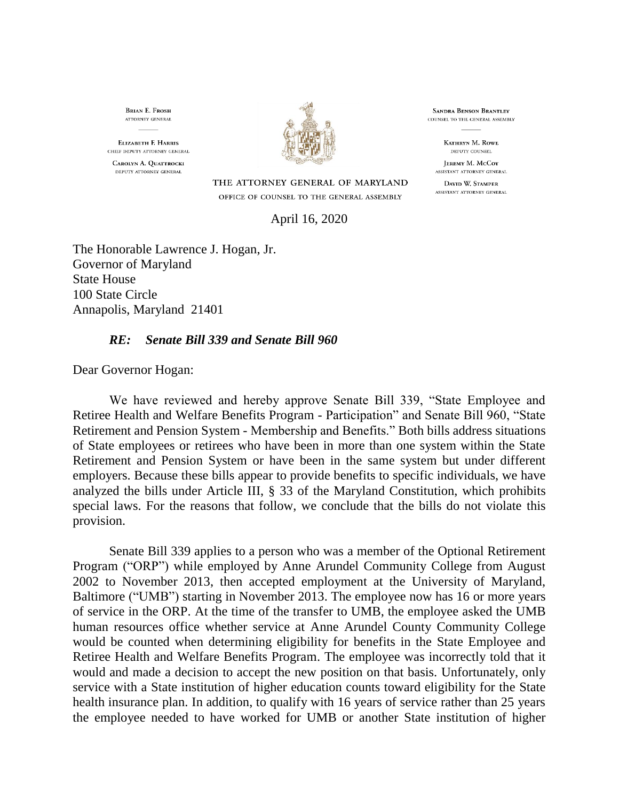**BRIAN E. FROSH** ATTORNEY GENERAL

**ELIZABETH E HARRIS** CHIEF DEPUTY ATTORNEY GENERAL CAROLYN A. QUATTROCKI DEPUTY ATTORNEY GENERAL



THE ATTORNEY GENERAL OF MARYLAND

**SANDRA BENSON BRANTLEY** COUNSEL TO THE GENERAL ASSEMBLY

> KATHRYN M. ROWE DEPUTY COUNSEL

**IEREMY M. McCoy** ASSISTANT ATTORNEY GENERAL

DAVID W. STAMPER ASSISTANT ATTORNEY GENERAL

OFFICE OF COUNSEL TO THE GENERAL ASSEMBLY

April 16, 2020

The Honorable Lawrence J. Hogan, Jr. Governor of Maryland State House 100 State Circle Annapolis, Maryland 21401

## *RE: Senate Bill 339 and Senate Bill 960*

Dear Governor Hogan:

We have reviewed and hereby approve Senate Bill 339, "State Employee and Retiree Health and Welfare Benefits Program - Participation" and Senate Bill 960, "State Retirement and Pension System - Membership and Benefits." Both bills address situations of State employees or retirees who have been in more than one system within the State Retirement and Pension System or have been in the same system but under different employers. Because these bills appear to provide benefits to specific individuals, we have analyzed the bills under Article III, § 33 of the Maryland Constitution, which prohibits special laws. For the reasons that follow, we conclude that the bills do not violate this provision.

Senate Bill 339 applies to a person who was a member of the Optional Retirement Program ("ORP") while employed by Anne Arundel Community College from August 2002 to November 2013, then accepted employment at the University of Maryland, Baltimore ("UMB") starting in November 2013. The employee now has 16 or more years of service in the ORP. At the time of the transfer to UMB, the employee asked the UMB human resources office whether service at Anne Arundel County Community College would be counted when determining eligibility for benefits in the State Employee and Retiree Health and Welfare Benefits Program. The employee was incorrectly told that it would and made a decision to accept the new position on that basis. Unfortunately, only service with a State institution of higher education counts toward eligibility for the State health insurance plan. In addition, to qualify with 16 years of service rather than 25 years the employee needed to have worked for UMB or another State institution of higher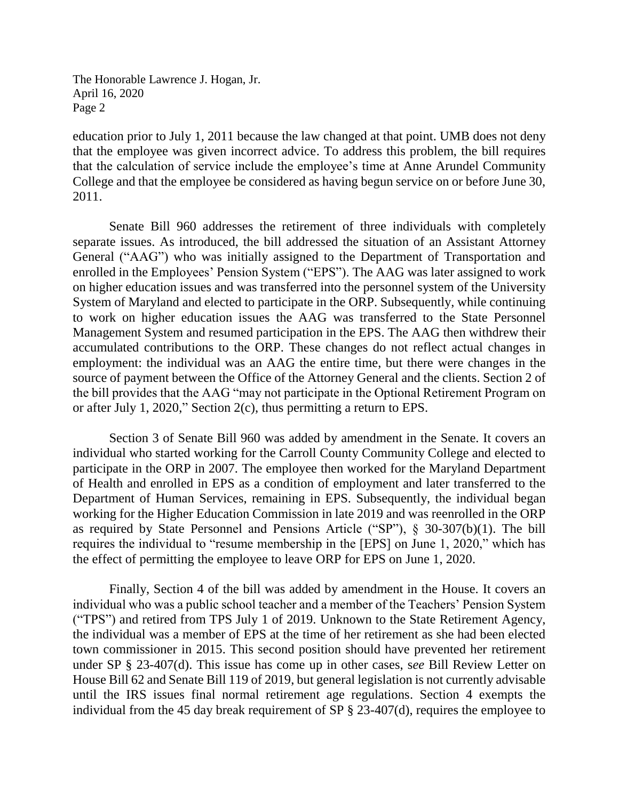The Honorable Lawrence J. Hogan, Jr. April 16, 2020 Page 2

education prior to July 1, 2011 because the law changed at that point. UMB does not deny that the employee was given incorrect advice. To address this problem, the bill requires that the calculation of service include the employee's time at Anne Arundel Community College and that the employee be considered as having begun service on or before June 30, 2011.

Senate Bill 960 addresses the retirement of three individuals with completely separate issues. As introduced, the bill addressed the situation of an Assistant Attorney General ("AAG") who was initially assigned to the Department of Transportation and enrolled in the Employees' Pension System ("EPS"). The AAG was later assigned to work on higher education issues and was transferred into the personnel system of the University System of Maryland and elected to participate in the ORP. Subsequently, while continuing to work on higher education issues the AAG was transferred to the State Personnel Management System and resumed participation in the EPS. The AAG then withdrew their accumulated contributions to the ORP. These changes do not reflect actual changes in employment: the individual was an AAG the entire time, but there were changes in the source of payment between the Office of the Attorney General and the clients. Section 2 of the bill provides that the AAG "may not participate in the Optional Retirement Program on or after July 1, 2020," Section 2(c), thus permitting a return to EPS.

Section 3 of Senate Bill 960 was added by amendment in the Senate. It covers an individual who started working for the Carroll County Community College and elected to participate in the ORP in 2007. The employee then worked for the Maryland Department of Health and enrolled in EPS as a condition of employment and later transferred to the Department of Human Services, remaining in EPS. Subsequently, the individual began working for the Higher Education Commission in late 2019 and was reenrolled in the ORP as required by State Personnel and Pensions Article ("SP"), § 30-307(b)(1). The bill requires the individual to "resume membership in the [EPS] on June 1, 2020," which has the effect of permitting the employee to leave ORP for EPS on June 1, 2020.

Finally, Section 4 of the bill was added by amendment in the House. It covers an individual who was a public school teacher and a member of the Teachers' Pension System ("TPS") and retired from TPS July 1 of 2019. Unknown to the State Retirement Agency, the individual was a member of EPS at the time of her retirement as she had been elected town commissioner in 2015. This second position should have prevented her retirement under SP § 23-407(d). This issue has come up in other cases, s*ee* Bill Review Letter on House Bill 62 and Senate Bill 119 of 2019, but general legislation is not currently advisable until the IRS issues final normal retirement age regulations. Section 4 exempts the individual from the 45 day break requirement of SP § 23-407(d), requires the employee to